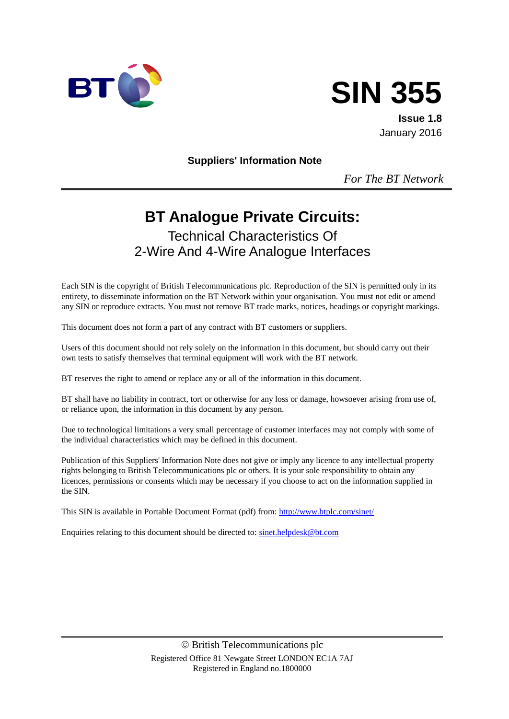



**Issue 1.8** January 2016

**Suppliers' Information Note**

*For The BT Network*

# **BT Analogue Private Circuits:**

Technical Characteristics Of 2-Wire And 4-Wire Analogue Interfaces

Each SIN is the copyright of British Telecommunications plc. Reproduction of the SIN is permitted only in its entirety, to disseminate information on the BT Network within your organisation. You must not edit or amend any SIN or reproduce extracts. You must not remove BT trade marks, notices, headings or copyright markings.

This document does not form a part of any contract with BT customers or suppliers.

Users of this document should not rely solely on the information in this document, but should carry out their own tests to satisfy themselves that terminal equipment will work with the BT network.

BT reserves the right to amend or replace any or all of the information in this document.

BT shall have no liability in contract, tort or otherwise for any loss or damage, howsoever arising from use of, or reliance upon, the information in this document by any person.

Due to technological limitations a very small percentage of customer interfaces may not comply with some of the individual characteristics which may be defined in this document.

Publication of this Suppliers' Information Note does not give or imply any licence to any intellectual property rights belonging to British Telecommunications plc or others. It is your sole responsibility to obtain any licences, permissions or consents which may be necessary if you choose to act on the information supplied in the SIN.

This SIN is available in Portable Document Format (pdf) from[: http://www.btplc.com/sinet/](http://www.btplc.com/sinet/)

Enquiries relating to this document should be directed to: [sinet.helpdesk@bt.com](mailto:sinet.helpdesk@bt.com)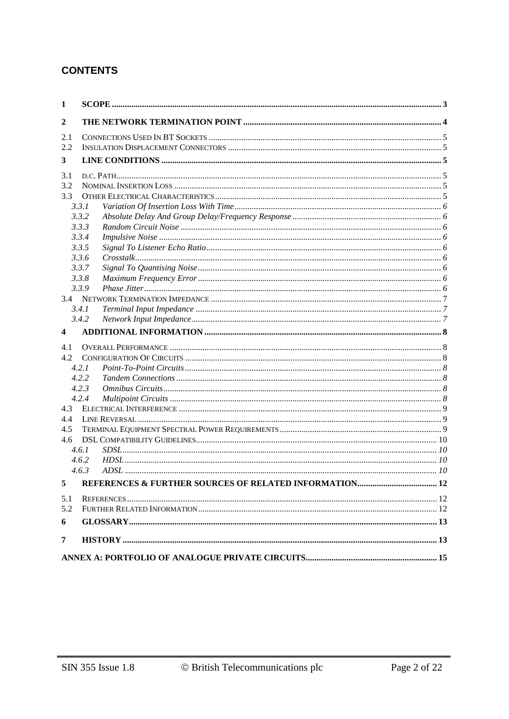#### **CONTENTS**

| 1              |       |  |
|----------------|-------|--|
| $\overline{2}$ |       |  |
| 2.1            |       |  |
| 2.2            |       |  |
| 3              |       |  |
| 3.1            |       |  |
| 3.2            |       |  |
| 3.3            |       |  |
| 3.3.1          |       |  |
|                | 3.3.2 |  |
|                | 3.3.3 |  |
|                | 3.3.4 |  |
|                | 3.3.5 |  |
|                | 3.3.6 |  |
|                | 3.3.7 |  |
|                | 3.3.8 |  |
|                | 3.3.9 |  |
|                |       |  |
|                | 3.4.1 |  |
|                | 3.4.2 |  |
| 4              |       |  |
| 4.1            |       |  |
| 4.2            |       |  |
|                | 4.2.1 |  |
|                | 4.2.2 |  |
|                | 4.2.3 |  |
|                | 4.2.4 |  |
| 4.3            |       |  |
| 4.4            |       |  |
| 4.5            |       |  |
| $4.6^{\circ}$  |       |  |
| 4.6.1          |       |  |
|                | 4.6.2 |  |
|                | 4.6.3 |  |
| 5              |       |  |
| 5.1            |       |  |
| 5.2            |       |  |
| 6              |       |  |
| 7              |       |  |
|                |       |  |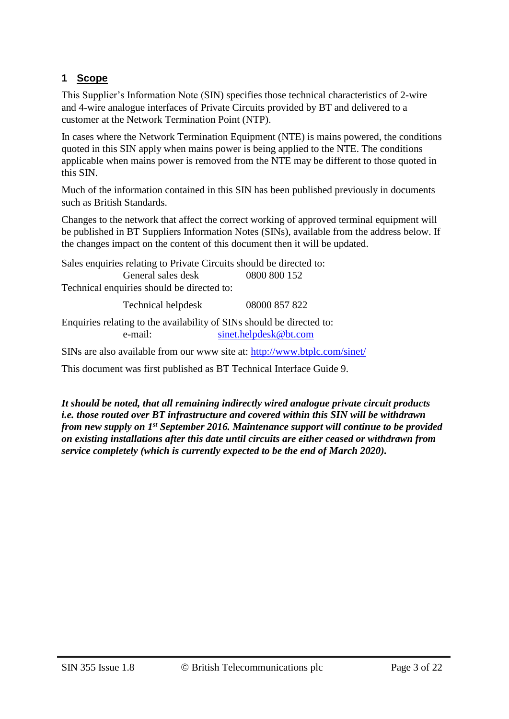### **1 Scope**

This Supplier's Information Note (SIN) specifies those technical characteristics of 2-wire and 4-wire analogue interfaces of Private Circuits provided by BT and delivered to a customer at the Network Termination Point (NTP).

In cases where the Network Termination Equipment (NTE) is mains powered, the conditions quoted in this SIN apply when mains power is being applied to the NTE. The conditions applicable when mains power is removed from the NTE may be different to those quoted in this SIN.

Much of the information contained in this SIN has been published previously in documents such as British Standards.

Changes to the network that affect the correct working of approved terminal equipment will be published in BT Suppliers Information Notes (SINs), available from the address below. If the changes impact on the content of this document then it will be updated.

Sales enquiries relating to Private Circuits should be directed to: General sales desk 0800 800 152 Technical enquiries should be directed to:

Technical helpdesk 08000 857 822

Enquiries relating to the availability of SINs should be directed to: e-mail: [sinet.helpdesk@bt.com](mailto:sinet.helpdesk@bt.com)

SINs are also available from our www site at: <http://www.btplc.com/sinet/>

This document was first published as BT Technical Interface Guide 9.

*It should be noted, that all remaining indirectly wired analogue private circuit products i.e. those routed over BT infrastructure and covered within this SIN will be withdrawn from new supply on 1st September 2016. Maintenance support will continue to be provided on existing installations after this date until circuits are either ceased or withdrawn from service completely (which is currently expected to be the end of March 2020).*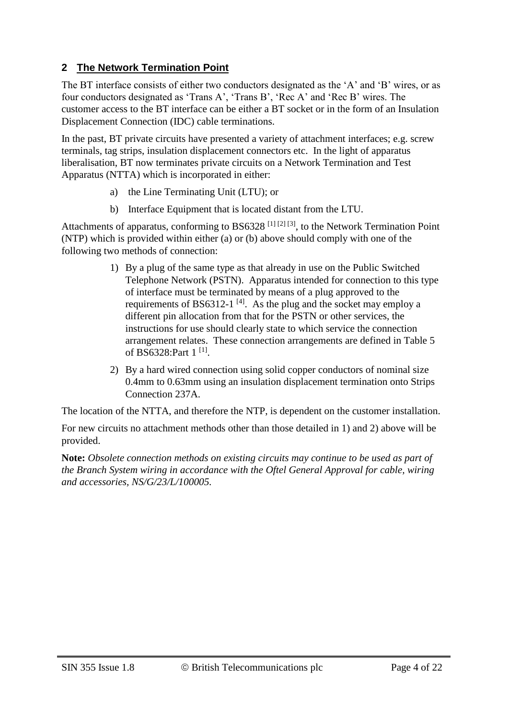#### **2 The Network Termination Point**

The BT interface consists of either two conductors designated as the 'A' and 'B' wires, or as four conductors designated as 'Trans A', 'Trans B', 'Rec A' and 'Rec B' wires. The customer access to the BT interface can be either a BT socket or in the form of an Insulation Displacement Connection (IDC) cable terminations.

In the past, BT private circuits have presented a variety of attachment interfaces; e.g. screw terminals, tag strips, insulation displacement connectors etc. In the light of apparatus liberalisation, BT now terminates private circuits on a Network Termination and Test Apparatus (NTTA) which is incorporated in either:

- a) the Line Terminating Unit (LTU); or
- b) Interface Equipment that is located distant from the LTU.

Attachments of apparatus, conforming to BS6328<sup>[1] [2] [3]</sup>, to the Network Termination Point (NTP) which is provided within either (a) or (b) above should comply with one of the following two methods of connection:

- 1) By a plug of the same type as that already in use on the Public Switched Telephone Network (PSTN). Apparatus intended for connection to this type of interface must be terminated by means of a plug approved to the requirements of BS6312-1<sup>[4]</sup>. As the plug and the socket may employ a different pin allocation from that for the PSTN or other services, the instructions for use should clearly state to which service the connection arrangement relates. These connection arrangements are defined in Table 5 of BS6328:Part 1<sup>[1]</sup>.
- 2) By a hard wired connection using solid copper conductors of nominal size 0.4mm to 0.63mm using an insulation displacement termination onto Strips Connection 237A.

The location of the NTTA, and therefore the NTP, is dependent on the customer installation.

For new circuits no attachment methods other than those detailed in 1) and 2) above will be provided.

**Note:** *Obsolete connection methods on existing circuits may continue to be used as part of the Branch System wiring in accordance with the Oftel General Approval for cable, wiring and accessories, NS/G/23/L/100005.*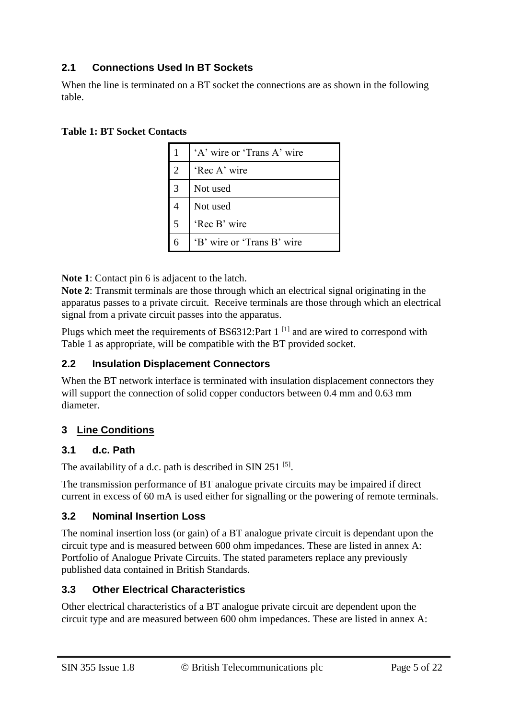### **2.1 Connections Used In BT Sockets**

When the line is terminated on a BT socket the connections are as shown in the following table.

#### **Table 1: BT Socket Contacts**

|   | 'A' wire or 'Trans A' wire |
|---|----------------------------|
| 2 | 'Rec A' wire               |
| 3 | Not used                   |
|   | Not used                   |
| 5 | 'Rec B' wire               |
| 6 | 'B' wire or 'Trans B' wire |

**Note 1**: Contact pin 6 is adjacent to the latch.

**Note 2**: Transmit terminals are those through which an electrical signal originating in the apparatus passes to a private circuit. Receive terminals are those through which an electrical signal from a private circuit passes into the apparatus.

Plugs which meet the requirements of BS6312:Part  $1<sup>[1]</sup>$  and are wired to correspond with Table 1 as appropriate, will be compatible with the BT provided socket.

### **2.2 Insulation Displacement Connectors**

When the BT network interface is terminated with insulation displacement connectors they will support the connection of solid copper conductors between 0.4 mm and 0.63 mm diameter.

### **3 Line Conditions**

#### **3.1 d.c. Path**

The availability of a d.c. path is described in SIN 251  $[5]$ .

The transmission performance of BT analogue private circuits may be impaired if direct current in excess of 60 mA is used either for signalling or the powering of remote terminals.

#### **3.2 Nominal Insertion Loss**

The nominal insertion loss (or gain) of a BT analogue private circuit is dependant upon the circuit type and is measured between 600 ohm impedances. These are listed in annex A: Portfolio of Analogue Private Circuits. The stated parameters replace any previously published data contained in British Standards.

### **3.3 Other Electrical Characteristics**

Other electrical characteristics of a BT analogue private circuit are dependent upon the circuit type and are measured between 600 ohm impedances. These are listed in annex A: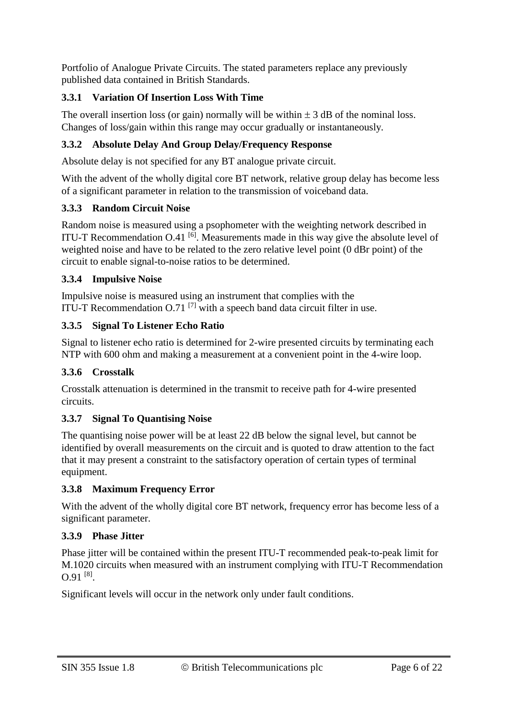Portfolio of Analogue Private Circuits. The stated parameters replace any previously published data contained in British Standards.

#### **3.3.1 Variation Of Insertion Loss With Time**

The overall insertion loss (or gain) normally will be within  $\pm 3$  dB of the nominal loss. Changes of loss/gain within this range may occur gradually or instantaneously.

#### **3.3.2 Absolute Delay And Group Delay/Frequency Response**

Absolute delay is not specified for any BT analogue private circuit.

With the advent of the wholly digital core BT network, relative group delay has become less of a significant parameter in relation to the transmission of voiceband data.

#### **3.3.3 Random Circuit Noise**

Random noise is measured using a psophometer with the weighting network described in ITU-T Recommendation  $O.41$  [6]. Measurements made in this way give the absolute level of weighted noise and have to be related to the zero relative level point (0 dBr point) of the circuit to enable signal-to-noise ratios to be determined.

#### **3.3.4 Impulsive Noise**

Impulsive noise is measured using an instrument that complies with the ITU-T Recommendation O.71 $^{[7]}$  with a speech band data circuit filter in use.

#### **3.3.5 Signal To Listener Echo Ratio**

Signal to listener echo ratio is determined for 2-wire presented circuits by terminating each NTP with 600 ohm and making a measurement at a convenient point in the 4-wire loop.

#### **3.3.6 Crosstalk**

Crosstalk attenuation is determined in the transmit to receive path for 4-wire presented circuits.

#### **3.3.7 Signal To Quantising Noise**

The quantising noise power will be at least 22 dB below the signal level, but cannot be identified by overall measurements on the circuit and is quoted to draw attention to the fact that it may present a constraint to the satisfactory operation of certain types of terminal equipment.

#### **3.3.8 Maximum Frequency Error**

With the advent of the wholly digital core BT network, frequency error has become less of a significant parameter.

#### **3.3.9 Phase Jitter**

Phase jitter will be contained within the present ITU-T recommended peak-to-peak limit for M.1020 circuits when measured with an instrument complying with ITU-T Recommendation  $0.91$ <sup>[8]</sup>.

Significant levels will occur in the network only under fault conditions.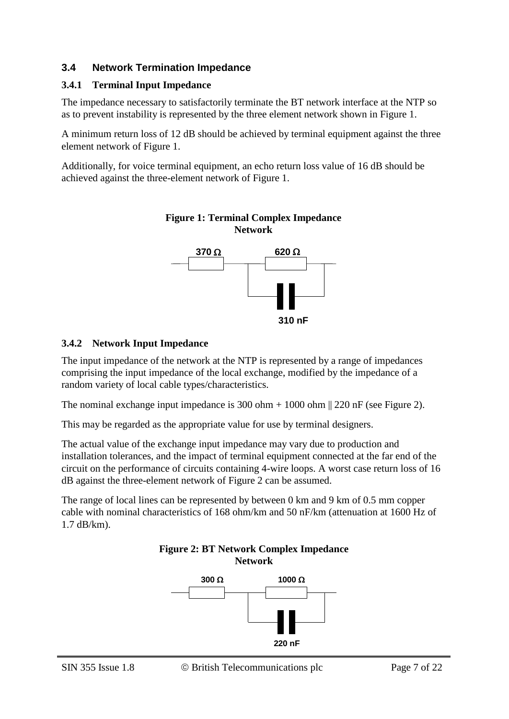#### **3.4 Network Termination Impedance**

#### **3.4.1 Terminal Input Impedance**

The impedance necessary to satisfactorily terminate the BT network interface at the NTP so as to prevent instability is represented by the three element network shown in Figure 1.

A minimum return loss of 12 dB should be achieved by terminal equipment against the three element network of Figure 1.

Additionally, for voice terminal equipment, an echo return loss value of 16 dB should be achieved against the three-element network of Figure 1.



**Figure 1: Terminal Complex Impedance Network**

#### **3.4.2 Network Input Impedance**

The input impedance of the network at the NTP is represented by a range of impedances comprising the input impedance of the local exchange, modified by the impedance of a random variety of local cable types/characteristics.

The nominal exchange input impedance is 300 ohm  $+ 1000$  ohm  $\parallel$  220 nF (see Figure 2).

This may be regarded as the appropriate value for use by terminal designers.

The actual value of the exchange input impedance may vary due to production and installation tolerances, and the impact of terminal equipment connected at the far end of the circuit on the performance of circuits containing 4-wire loops. A worst case return loss of 16 dB against the three-element network of Figure 2 can be assumed.

The range of local lines can be represented by between 0 km and 9 km of 0.5 mm copper cable with nominal characteristics of 168 ohm/km and 50 nF/km (attenuation at 1600 Hz of 1.7 dB/km).

#### **Figure 2: BT Network Complex Impedance Network**

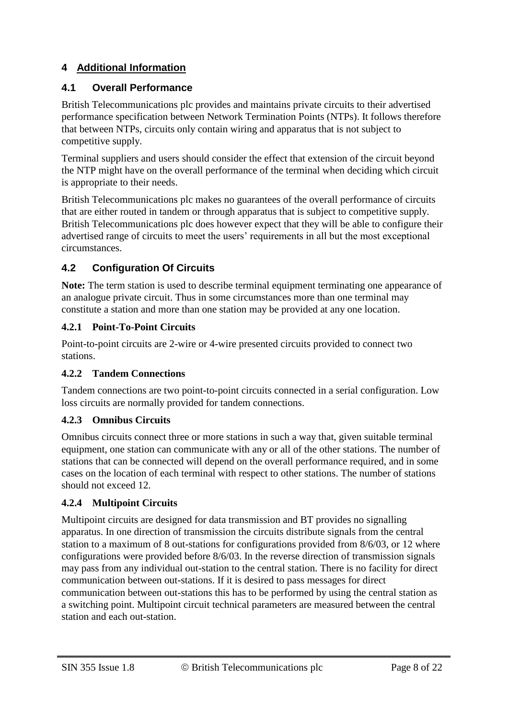### **4 Additional Information**

#### **4.1 Overall Performance**

British Telecommunications plc provides and maintains private circuits to their advertised performance specification between Network Termination Points (NTPs). It follows therefore that between NTPs, circuits only contain wiring and apparatus that is not subject to competitive supply.

Terminal suppliers and users should consider the effect that extension of the circuit beyond the NTP might have on the overall performance of the terminal when deciding which circuit is appropriate to their needs.

British Telecommunications plc makes no guarantees of the overall performance of circuits that are either routed in tandem or through apparatus that is subject to competitive supply. British Telecommunications plc does however expect that they will be able to configure their advertised range of circuits to meet the users' requirements in all but the most exceptional circumstances.

### **4.2 Configuration Of Circuits**

**Note:** The term station is used to describe terminal equipment terminating one appearance of an analogue private circuit. Thus in some circumstances more than one terminal may constitute a station and more than one station may be provided at any one location.

#### **4.2.1 Point-To-Point Circuits**

Point-to-point circuits are 2-wire or 4-wire presented circuits provided to connect two stations.

### **4.2.2 Tandem Connections**

Tandem connections are two point-to-point circuits connected in a serial configuration. Low loss circuits are normally provided for tandem connections.

### **4.2.3 Omnibus Circuits**

Omnibus circuits connect three or more stations in such a way that, given suitable terminal equipment, one station can communicate with any or all of the other stations. The number of stations that can be connected will depend on the overall performance required, and in some cases on the location of each terminal with respect to other stations. The number of stations should not exceed 12.

### **4.2.4 Multipoint Circuits**

Multipoint circuits are designed for data transmission and BT provides no signalling apparatus. In one direction of transmission the circuits distribute signals from the central station to a maximum of 8 out-stations for configurations provided from 8/6/03, or 12 where configurations were provided before 8/6/03. In the reverse direction of transmission signals may pass from any individual out-station to the central station. There is no facility for direct communication between out-stations. If it is desired to pass messages for direct communication between out-stations this has to be performed by using the central station as a switching point. Multipoint circuit technical parameters are measured between the central station and each out-station.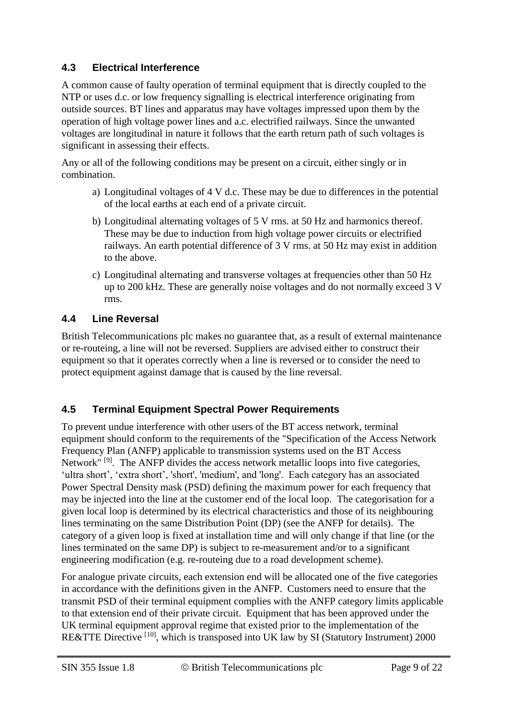#### **4.3 Electrical Interference**

A common cause of faulty operation of terminal equipment that is directly coupled to the NTP or uses d.c. or low frequency signalling is electrical interference originating from outside sources. BT lines and apparatus may have voltages impressed upon them by the operation of high voltage power lines and a.c. electrified railways. Since the unwanted voltages are longitudinal in nature it follows that the earth return path of such voltages is significant in assessing their effects.

Any or all of the following conditions may be present on a circuit, either singly or in combination.

- a) Longitudinal voltages of 4 V d.c. These may be due to differences in the potential of the local earths at each end of a private circuit.
- b) Longitudinal alternating voltages of 5 V rms. at 50 Hz and harmonics thereof. These may be due to induction from high voltage power circuits or electrified railways. An earth potential difference of 3 V rms. at 50 Hz may exist in addition to the above.
- c) Longitudinal alternating and transverse voltages at frequencies other than 50 Hz up to 200 kHz. These are generally noise voltages and do not normally exceed 3 V rms.

### **4.4 Line Reversal**

British Telecommunications plc makes no guarantee that, as a result of external maintenance or re-routeing, a line will not be reversed. Suppliers are advised either to construct their equipment so that it operates correctly when a line is reversed or to consider the need to protect equipment against damage that is caused by the line reversal.

### **4.5 Terminal Equipment Spectral Power Requirements**

To prevent undue interference with other users of the BT access network, terminal equipment should conform to the requirements of the "Specification of the Access Network Frequency Plan (ANFP) applicable to transmission systems used on the BT Access Network"<sup>[9]</sup>. The ANFP divides the access network metallic loops into five categories, 'ultra short', 'extra short', 'short', 'medium', and 'long'. Each category has an associated Power Spectral Density mask (PSD) defining the maximum power for each frequency that may be injected into the line at the customer end of the local loop. The categorisation for a given local loop is determined by its electrical characteristics and those of its neighbouring lines terminating on the same Distribution Point (DP) (see the ANFP for details). The category of a given loop is fixed at installation time and will only change if that line (or the lines terminated on the same DP) is subject to re-measurement and/or to a significant engineering modification (e.g. re-routeing due to a road development scheme).

For analogue private circuits, each extension end will be allocated one of the five categories in accordance with the definitions given in the ANFP. Customers need to ensure that the transmit PSD of their terminal equipment complies with the ANFP category limits applicable to that extension end of their private circuit. Equipment that has been approved under the UK terminal equipment approval regime that existed prior to the implementation of the RE&TTE Directive [10], which is transposed into UK law by SI (Statutory Instrument) 2000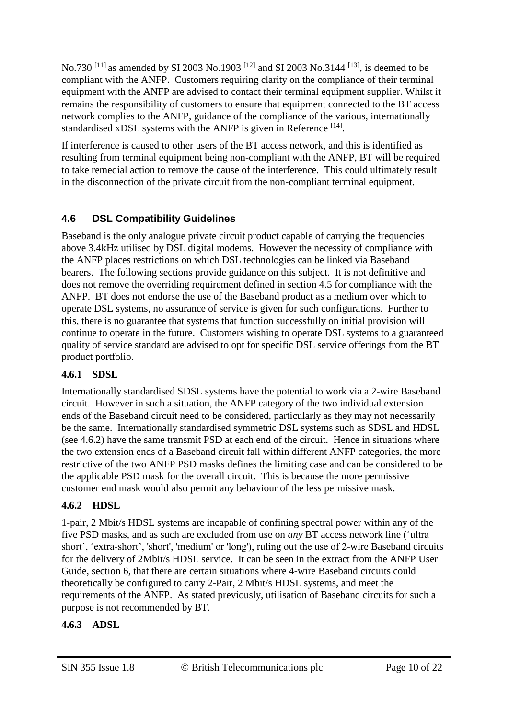No.730<sup>[11]</sup> as amended by SI 2003 No.1903<sup>[12]</sup> and SI 2003 No.3144<sup>[13]</sup>, is deemed to be compliant with the ANFP. Customers requiring clarity on the compliance of their terminal equipment with the ANFP are advised to contact their terminal equipment supplier. Whilst it remains the responsibility of customers to ensure that equipment connected to the BT access network complies to the ANFP, guidance of the compliance of the various, internationally standardised xDSL systems with the ANFP is given in Reference  $^{[14]}$ .

If interference is caused to other users of the BT access network, and this is identified as resulting from terminal equipment being non-compliant with the ANFP, BT will be required to take remedial action to remove the cause of the interference. This could ultimately result in the disconnection of the private circuit from the non-compliant terminal equipment.

## **4.6 DSL Compatibility Guidelines**

Baseband is the only analogue private circuit product capable of carrying the frequencies above 3.4kHz utilised by DSL digital modems. However the necessity of compliance with the ANFP places restrictions on which DSL technologies can be linked via Baseband bearers. The following sections provide guidance on this subject. It is not definitive and does not remove the overriding requirement defined in section 4.5 for compliance with the ANFP. BT does not endorse the use of the Baseband product as a medium over which to operate DSL systems, no assurance of service is given for such configurations. Further to this, there is no guarantee that systems that function successfully on initial provision will continue to operate in the future. Customers wishing to operate DSL systems to a guaranteed quality of service standard are advised to opt for specific DSL service offerings from the BT product portfolio.

### **4.6.1 SDSL**

Internationally standardised SDSL systems have the potential to work via a 2-wire Baseband circuit. However in such a situation, the ANFP category of the two individual extension ends of the Baseband circuit need to be considered, particularly as they may not necessarily be the same. Internationally standardised symmetric DSL systems such as SDSL and HDSL (see 4.6.2) have the same transmit PSD at each end of the circuit. Hence in situations where the two extension ends of a Baseband circuit fall within different ANFP categories, the more restrictive of the two ANFP PSD masks defines the limiting case and can be considered to be the applicable PSD mask for the overall circuit. This is because the more permissive customer end mask would also permit any behaviour of the less permissive mask.

### **4.6.2 HDSL**

1-pair, 2 Mbit/s HDSL systems are incapable of confining spectral power within any of the five PSD masks, and as such are excluded from use on *any* BT access network line ('ultra short', 'extra-short', 'short', 'medium' or 'long'), ruling out the use of 2-wire Baseband circuits for the delivery of 2Mbit/s HDSL service. It can be seen in the extract from the ANFP User Guide, section 6, that there are certain situations where 4-wire Baseband circuits could theoretically be configured to carry 2-Pair, 2 Mbit/s HDSL systems, and meet the requirements of the ANFP. As stated previously, utilisation of Baseband circuits for such a purpose is not recommended by BT.

### **4.6.3 ADSL**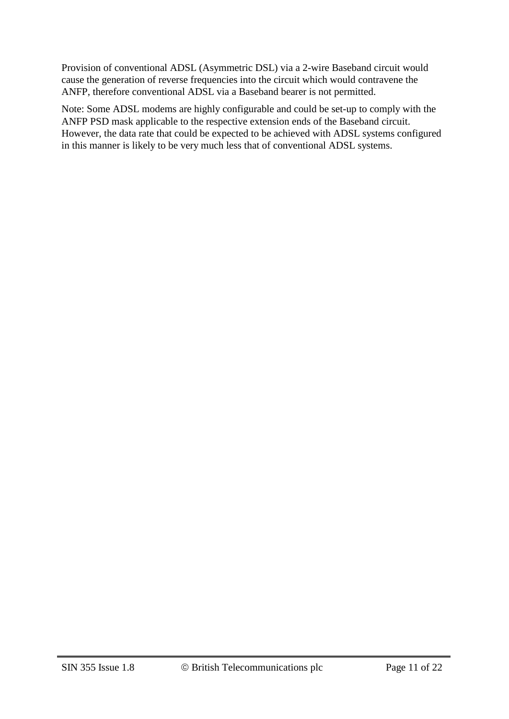Provision of conventional ADSL (Asymmetric DSL) via a 2-wire Baseband circuit would cause the generation of reverse frequencies into the circuit which would contravene the ANFP, therefore conventional ADSL via a Baseband bearer is not permitted.

Note: Some ADSL modems are highly configurable and could be set-up to comply with the ANFP PSD mask applicable to the respective extension ends of the Baseband circuit. However, the data rate that could be expected to be achieved with ADSL systems configured in this manner is likely to be very much less that of conventional ADSL systems.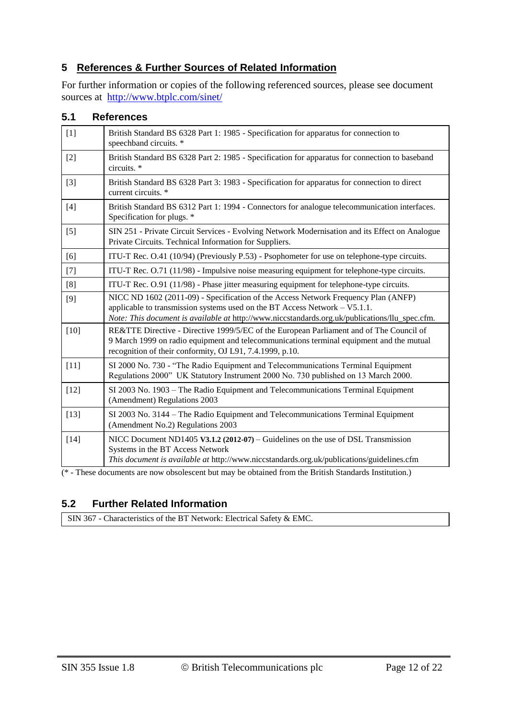#### **5 References & Further Sources of Related Information**

For further information or copies of the following referenced sources, please see document sources at <http://www.btplc.com/sinet/>

#### **5.1 References**

| $[1]$  | British Standard BS 6328 Part 1: 1985 - Specification for apparatus for connection to<br>speechband circuits. *                                                                                                                                                      |
|--------|----------------------------------------------------------------------------------------------------------------------------------------------------------------------------------------------------------------------------------------------------------------------|
| $[2]$  | British Standard BS 6328 Part 2: 1985 - Specification for apparatus for connection to baseband<br>circuits. *                                                                                                                                                        |
| $[3]$  | British Standard BS 6328 Part 3: 1983 - Specification for apparatus for connection to direct<br>current circuits. *                                                                                                                                                  |
| $[4]$  | British Standard BS 6312 Part 1: 1994 - Connectors for analogue telecommunication interfaces.<br>Specification for plugs. *                                                                                                                                          |
| $[5]$  | SIN 251 - Private Circuit Services - Evolving Network Modernisation and its Effect on Analogue<br>Private Circuits. Technical Information for Suppliers.                                                                                                             |
| [6]    | ITU-T Rec. O.41 (10/94) (Previously P.53) - Psophometer for use on telephone-type circuits.                                                                                                                                                                          |
| $[7]$  | ITU-T Rec. $O.71$ ( $11/98$ ) - Impulsive noise measuring equipment for telephone-type circuits.                                                                                                                                                                     |
| [8]    | ITU-T Rec. O.91 (11/98) - Phase jitter measuring equipment for telephone-type circuits.                                                                                                                                                                              |
| $[9]$  | NICC ND 1602 (2011-09) - Specification of the Access Network Frequency Plan (ANFP)<br>applicable to transmission systems used on the BT Access Network $-$ V5.1.1.<br>Note: This document is available at http://www.niccstandards.org.uk/publications/llu_spec.cfm. |
| $[10]$ | RE&TTE Directive - Directive 1999/5/EC of the European Parliament and of The Council of<br>9 March 1999 on radio equipment and telecommunications terminal equipment and the mutual<br>recognition of their conformity, OJ L91, 7.4.1999, p.10.                      |
| $[11]$ | SI 2000 No. 730 - "The Radio Equipment and Telecommunications Terminal Equipment<br>Regulations 2000" UK Statutory Instrument 2000 No. 730 published on 13 March 2000.                                                                                               |
| $[12]$ | SI 2003 No. 1903 – The Radio Equipment and Telecommunications Terminal Equipment<br>(Amendment) Regulations 2003                                                                                                                                                     |
| $[13]$ | SI 2003 No. 3144 - The Radio Equipment and Telecommunications Terminal Equipment<br>(Amendment No.2) Regulations 2003                                                                                                                                                |
| $[14]$ | NICC Document ND1405 V3.1.2 (2012-07) – Guidelines on the use of DSL Transmission<br>Systems in the BT Access Network<br>This document is available at http://www.niccstandards.org.uk/publications/guidelines.cfm                                                   |

(\* - These documents are now obsolescent but may be obtained from the British Standards Institution.)

#### **5.2 Further Related Information**

SIN 367 - Characteristics of the BT Network: Electrical Safety & EMC.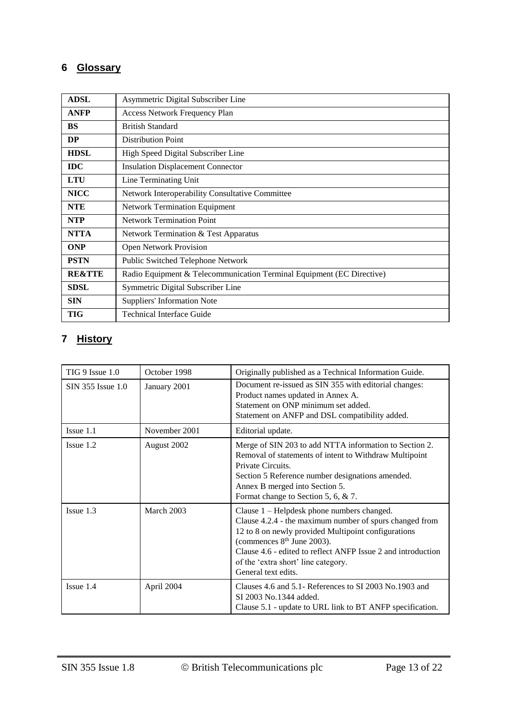# **6 Glossary**

| <b>ADSL</b>       | Asymmetric Digital Subscriber Line                                    |
|-------------------|-----------------------------------------------------------------------|
| <b>ANFP</b>       | <b>Access Network Frequency Plan</b>                                  |
| <b>BS</b>         | <b>British Standard</b>                                               |
| DP                | <b>Distribution Point</b>                                             |
| <b>HDSL</b>       | High Speed Digital Subscriber Line                                    |
| <b>IDC</b>        | <b>Insulation Displacement Connector</b>                              |
| <b>LTU</b>        | Line Terminating Unit                                                 |
| <b>NICC</b>       | Network Interoperability Consultative Committee                       |
| <b>NTE</b>        | <b>Network Termination Equipment</b>                                  |
| <b>NTP</b>        | <b>Network Termination Point</b>                                      |
| <b>NTTA</b>       | Network Termination & Test Apparatus                                  |
| <b>ONP</b>        | <b>Open Network Provision</b>                                         |
| <b>PSTN</b>       | Public Switched Telephone Network                                     |
| <b>RE&amp;TTE</b> | Radio Equipment & Telecommunication Terminal Equipment (EC Directive) |
| <b>SDSL</b>       | Symmetric Digital Subscriber Line                                     |
| <b>SIN</b>        | <b>Suppliers' Information Note</b>                                    |
| <b>TIG</b>        | <b>Technical Interface Guide</b>                                      |

# **7 History**

| TIG 9 Issue 1.0   | October 1998  | Originally published as a Technical Information Guide.                                                                                                                                                                                                                                                                               |  |
|-------------------|---------------|--------------------------------------------------------------------------------------------------------------------------------------------------------------------------------------------------------------------------------------------------------------------------------------------------------------------------------------|--|
| SIN 355 Issue 1.0 | January 2001  | Document re-issued as SIN 355 with editorial changes:<br>Product names updated in Annex A.<br>Statement on ONP minimum set added.<br>Statement on ANFP and DSL compatibility added.                                                                                                                                                  |  |
| $I$ ssue $1.1$    | November 2001 | Editorial update.                                                                                                                                                                                                                                                                                                                    |  |
| $I$ ssue $1.2$    | August 2002   | Merge of SIN 203 to add NTTA information to Section 2.<br>Removal of statements of intent to Withdraw Multipoint<br>Private Circuits.<br>Section 5 Reference number designations amended.<br>Annex B merged into Section 5.<br>Format change to Section 5, 6, & 7.                                                                   |  |
| $I$ ssue $1.3$    | March 2003    | Clause 1 - Helpdesk phone numbers changed.<br>Clause 4.2.4 - the maximum number of spurs changed from<br>12 to 8 on newly provided Multipoint configurations<br>(commences 8 <sup>th</sup> June 2003).<br>Clause 4.6 - edited to reflect ANFP Issue 2 and introduction<br>of the 'extra short' line category.<br>General text edits. |  |
| Issue 1.4         | April 2004    | Clauses 4.6 and 5.1- References to SI 2003 No.1903 and<br>SI 2003 No.1344 added.<br>Clause 5.1 - update to URL link to BT ANFP specification.                                                                                                                                                                                        |  |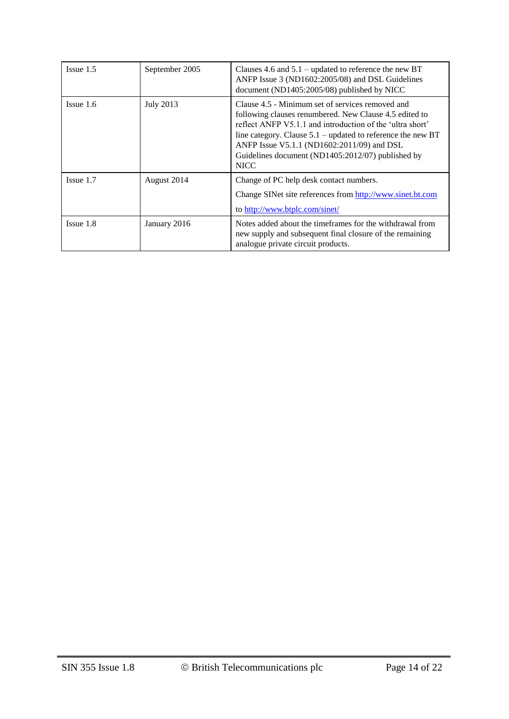| $I$ ssue $1.5$ | September 2005   | Clauses 4.6 and $5.1$ – updated to reference the new BT<br>ANFP Issue 3 (ND1602:2005/08) and DSL Guidelines<br>document (ND1405:2005/08) published by NICC                                                                                                                                                                                                 |
|----------------|------------------|------------------------------------------------------------------------------------------------------------------------------------------------------------------------------------------------------------------------------------------------------------------------------------------------------------------------------------------------------------|
| $I$ ssue 1.6   | <b>July 2013</b> | Clause 4.5 - Minimum set of services removed and<br>following clauses renumbered. New Clause 4.5 edited to<br>reflect ANFP V5.1.1 and introduction of the 'ultra short'<br>line category. Clause $5.1$ – updated to reference the new BT<br>ANFP Issue V5.1.1 (ND1602:2011/09) and DSL<br>Guidelines document (ND1405:2012/07) published by<br><b>NICC</b> |
| $I$ ssue $1.7$ | August 2014      | Change of PC help desk contact numbers.<br>Change SINet site references from http://www.sinet.bt.com                                                                                                                                                                                                                                                       |
|                |                  | to http://www.btplc.com/sinet/                                                                                                                                                                                                                                                                                                                             |
| $I$ ssue $1.8$ | January 2016     | Notes added about the timeframes for the withdrawal from<br>new supply and subsequent final closure of the remaining<br>analogue private circuit products.                                                                                                                                                                                                 |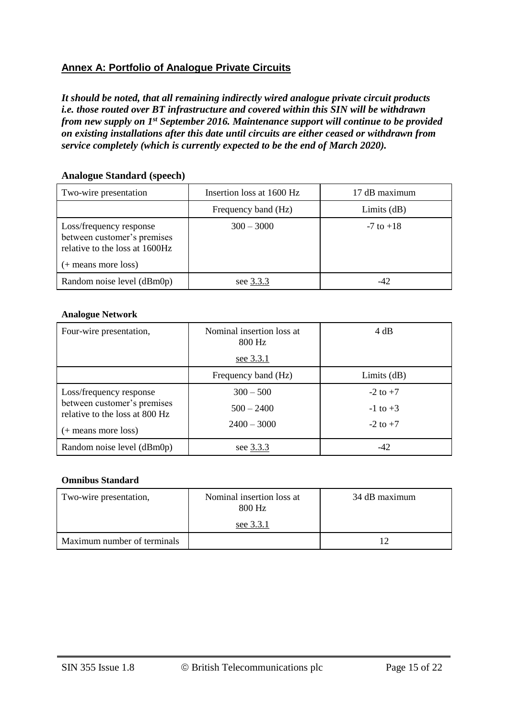#### **Annex A: Portfolio of Analogue Private Circuits**

*It should be noted, that all remaining indirectly wired analogue private circuit products i.e. those routed over BT infrastructure and covered within this SIN will be withdrawn from new supply on 1st September 2016. Maintenance support will continue to be provided on existing installations after this date until circuits are either ceased or withdrawn from service completely (which is currently expected to be the end of March 2020).* 

#### **Analogue Standard (speech)**

| Two-wire presentation                                                                                           | Insertion loss at 1600 Hz | 17 dB maximum |
|-----------------------------------------------------------------------------------------------------------------|---------------------------|---------------|
|                                                                                                                 | Frequency band (Hz)       | Limits $(dB)$ |
| Loss/frequency response<br>between customer's premises<br>relative to the loss at 1600Hz<br>(+ means more loss) | $300 - 3000$              | $-7$ to $+18$ |
| Random noise level (dBm0p)                                                                                      | see 3.3.3                 | -42           |

#### **Analogue Network**

| Four-wire presentation,                                       | Nominal insertion loss at<br>800 Hz | 4 dB          |
|---------------------------------------------------------------|-------------------------------------|---------------|
|                                                               | see 3.3.1                           |               |
|                                                               | Frequency band (Hz)                 | Limits $(dB)$ |
| Loss/frequency response                                       | $300 - 500$                         | $-2$ to $+7$  |
| between customer's premises<br>relative to the loss at 800 Hz | $500 - 2400$                        | $-1$ to $+3$  |
| (+ means more loss)                                           | $2400 - 3000$                       | $-2$ to $+7$  |
| Random noise level (dBm0p)                                    | see 3.3.3                           | -42           |

#### **Omnibus Standard**

| Two-wire presentation,      | Nominal insertion loss at<br>800 Hz<br>see 3.3.1 | 34 dB maximum |
|-----------------------------|--------------------------------------------------|---------------|
| Maximum number of terminals |                                                  |               |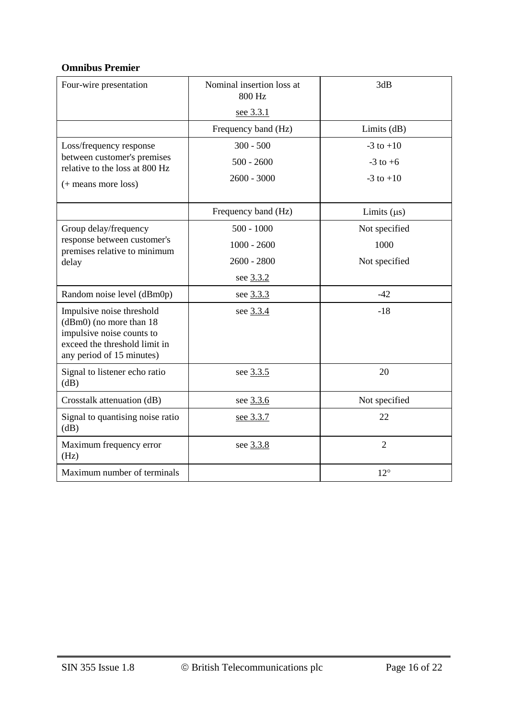#### **Omnibus Premier**

| Four-wire presentation                                                                                                                             | Nominal insertion loss at<br>800 Hz | 3dB              |
|----------------------------------------------------------------------------------------------------------------------------------------------------|-------------------------------------|------------------|
|                                                                                                                                                    | see 3.3.1                           |                  |
|                                                                                                                                                    | Frequency band (Hz)                 | Limits $(dB)$    |
| Loss/frequency response                                                                                                                            | $300 - 500$                         | $-3$ to $+10$    |
| between customer's premises<br>relative to the loss at 800 Hz                                                                                      | $500 - 2600$                        | $-3$ to $+6$     |
| (+ means more loss)                                                                                                                                | $2600 - 3000$                       | $-3$ to $+10$    |
|                                                                                                                                                    | Frequency band (Hz)                 | Limits $(\mu s)$ |
| Group delay/frequency                                                                                                                              | $500 - 1000$                        | Not specified    |
| response between customer's<br>premises relative to minimum                                                                                        | $1000 - 2600$                       | 1000             |
| delay                                                                                                                                              | $2600 - 2800$                       | Not specified    |
|                                                                                                                                                    | see 3.3.2                           |                  |
| Random noise level (dBm0p)                                                                                                                         | see 3.3.3                           | $-42$            |
| Impulsive noise threshold<br>$(dBm0)$ (no more than 18)<br>impulsive noise counts to<br>exceed the threshold limit in<br>any period of 15 minutes) | see 3.3.4                           | $-18$            |
| Signal to listener echo ratio<br>(dB)                                                                                                              | see 3.3.5                           | 20               |
| Crosstalk attenuation (dB)                                                                                                                         | see 3.3.6                           | Not specified    |
| Signal to quantising noise ratio<br>(dB)                                                                                                           | see 3.3.7                           | 22               |
| Maximum frequency error<br>(Hz)                                                                                                                    | see 3.3.8                           | $\overline{2}$   |
| Maximum number of terminals                                                                                                                        |                                     | $12^{\circ}$     |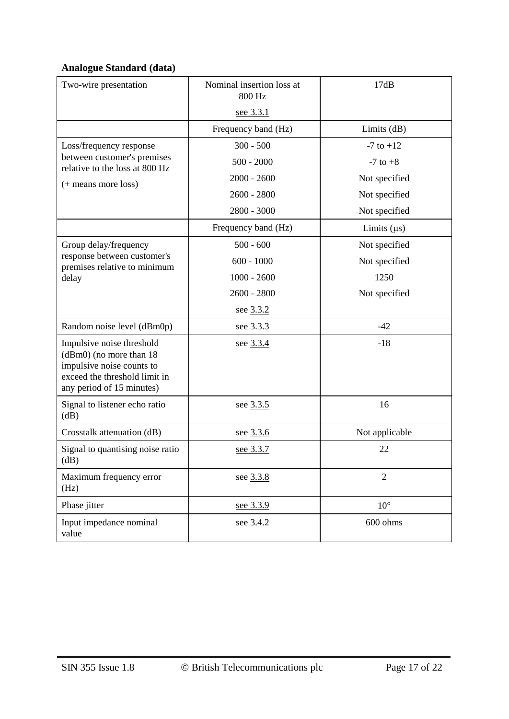# **Analogue Standard (data)**

| Two-wire presentation                                                                                                                           | Nominal insertion loss at<br>800 Hz | 17dB             |
|-------------------------------------------------------------------------------------------------------------------------------------------------|-------------------------------------|------------------|
|                                                                                                                                                 | see 3.3.1                           |                  |
|                                                                                                                                                 | Frequency band (Hz)                 | Limits $(dB)$    |
| Loss/frequency response                                                                                                                         | $300 - 500$                         | $-7$ to $+12$    |
| between customer's premises<br>relative to the loss at 800 Hz                                                                                   | $500 - 2000$                        | $-7$ to $+8$     |
| (+ means more loss)                                                                                                                             | $2000 - 2600$                       | Not specified    |
|                                                                                                                                                 | $2600 - 2800$                       | Not specified    |
|                                                                                                                                                 | $2800 - 3000$                       | Not specified    |
|                                                                                                                                                 | Frequency band (Hz)                 | Limits $(\mu s)$ |
| Group delay/frequency                                                                                                                           | $500 - 600$                         | Not specified    |
| response between customer's<br>premises relative to minimum                                                                                     | $600 - 1000$                        | Not specified    |
| delay                                                                                                                                           | $1000 - 2600$                       | 1250             |
|                                                                                                                                                 | $2600 - 2800$                       | Not specified    |
|                                                                                                                                                 | see 3.3.2                           |                  |
| Random noise level (dBm0p)                                                                                                                      | see 3.3.3                           | $-42$            |
| Impulsive noise threshold<br>(dBm0) (no more than 18<br>impulsive noise counts to<br>exceed the threshold limit in<br>any period of 15 minutes) | see 3.3.4                           | $-18$            |
| Signal to listener echo ratio<br>(dB)                                                                                                           | see 3.3.5                           | 16               |
| Crosstalk attenuation (dB)                                                                                                                      | see 3.3.6                           | Not applicable   |
| Signal to quantising noise ratio<br>(dB)                                                                                                        | see 3.3.7                           | 22               |
| Maximum frequency error<br>(Hz)                                                                                                                 | see 3.3.8                           | $\mathfrak{2}$   |
| Phase jitter                                                                                                                                    | see 3.3.9                           | $10^{\circ}$     |
| Input impedance nominal<br>value                                                                                                                | see 3.4.2                           | 600 ohms         |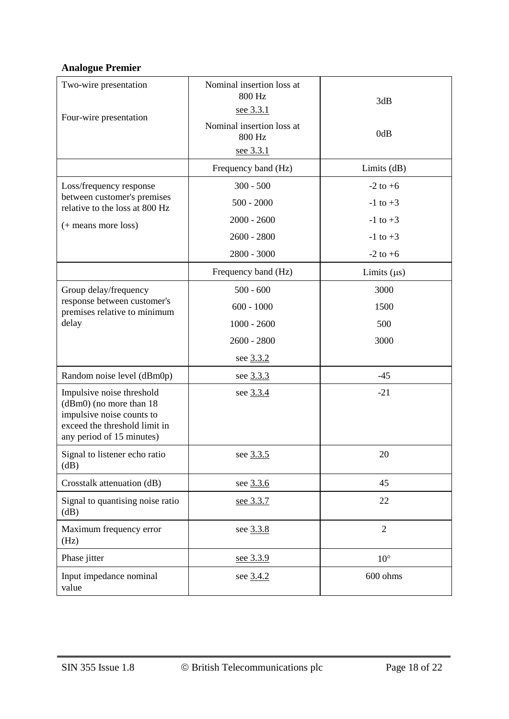# **Analogue Premier**

| Two-wire presentation<br>Four-wire presentation                                                                                                 | Nominal insertion loss at<br>800 Hz<br><u>see 3.3.1</u><br>Nominal insertion loss at<br>800 Hz<br>see 3.3.1 | 3dB<br>0dB                                                   |
|-------------------------------------------------------------------------------------------------------------------------------------------------|-------------------------------------------------------------------------------------------------------------|--------------------------------------------------------------|
|                                                                                                                                                 | Frequency band (Hz)                                                                                         | Limits $(dB)$                                                |
| Loss/frequency response<br>between customer's premises<br>relative to the loss at 800 Hz<br>(+ means more loss)                                 | $300 - 500$<br>$500 - 2000$<br>$2000 - 2600$<br>$2600 - 2800$                                               | $-2$ to $+6$<br>$-1$ to $+3$<br>$-1$ to $+3$<br>$-1$ to $+3$ |
|                                                                                                                                                 | 2800 - 3000<br>Frequency band (Hz)                                                                          | $-2$ to $+6$                                                 |
| Group delay/frequency<br>response between customer's<br>premises relative to minimum<br>delay<br>Random noise level (dBm0p)                     | $500 - 600$<br>$600 - 1000$<br>$1000 - 2600$<br>$2600 - 2800$<br>see 3.3.2<br>see 3.3.3                     | Limits $(\mu s)$<br>3000<br>1500<br>500<br>3000<br>$-45$     |
| Impulsive noise threshold<br>(dBm0) (no more than 18<br>impulsive noise counts to<br>exceed the threshold limit in<br>any period of 15 minutes) | see 3.3.4                                                                                                   | $-21$                                                        |
| Signal to listener echo ratio<br>(dB)                                                                                                           | see 3.3.5                                                                                                   | 20                                                           |
| Crosstalk attenuation (dB)                                                                                                                      | see 3.3.6                                                                                                   | 45                                                           |
| Signal to quantising noise ratio<br>dB)                                                                                                         | see 3.3.7                                                                                                   | 22                                                           |
| Maximum frequency error<br>(Hz)                                                                                                                 | see 3.3.8                                                                                                   | $\sqrt{2}$                                                   |
| Phase jitter                                                                                                                                    | see 3.3.9                                                                                                   | $10^{\circ}$                                                 |
| Input impedance nominal<br>value                                                                                                                | see 3.4.2                                                                                                   | 600 ohms                                                     |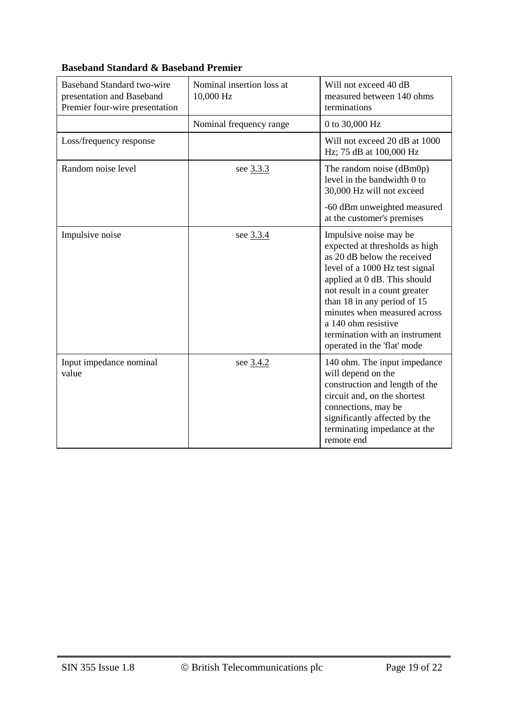| Baseband Standard two-wire<br>presentation and Baseband<br>Premier four-wire presentation | Nominal insertion loss at<br>10,000 Hz | Will not exceed 40 dB<br>measured between 140 ohms<br>terminations                                                                                                                                                                                                                                                                                |
|-------------------------------------------------------------------------------------------|----------------------------------------|---------------------------------------------------------------------------------------------------------------------------------------------------------------------------------------------------------------------------------------------------------------------------------------------------------------------------------------------------|
|                                                                                           | Nominal frequency range                | 0 to 30,000 Hz                                                                                                                                                                                                                                                                                                                                    |
| Loss/frequency response                                                                   |                                        | Will not exceed 20 dB at 1000<br>Hz; 75 dB at 100,000 Hz                                                                                                                                                                                                                                                                                          |
| Random noise level                                                                        | see 3.3.3                              | The random noise (dBm0p)<br>level in the bandwidth 0 to<br>30,000 Hz will not exceed                                                                                                                                                                                                                                                              |
|                                                                                           |                                        | -60 dBm unweighted measured<br>at the customer's premises                                                                                                                                                                                                                                                                                         |
| Impulsive noise                                                                           | see 3.3.4                              | Impulsive noise may be<br>expected at thresholds as high<br>as 20 dB below the received<br>level of a 1000 Hz test signal<br>applied at 0 dB. This should<br>not result in a count greater<br>than 18 in any period of 15<br>minutes when measured across<br>a 140 ohm resistive<br>termination with an instrument<br>operated in the 'flat' mode |
| Input impedance nominal<br>value                                                          | see 3.4.2                              | 140 ohm. The input impedance<br>will depend on the<br>construction and length of the<br>circuit and, on the shortest<br>connections, may be<br>significantly affected by the<br>terminating impedance at the<br>remote end                                                                                                                        |

#### **Baseband Standard & Baseband Premier**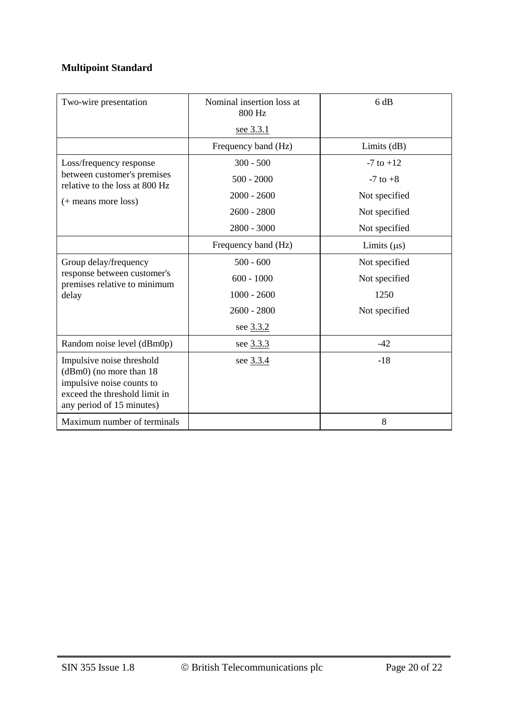# **Multipoint Standard**

| Two-wire presentation                                                                                                                           | Nominal insertion loss at<br>800 Hz | 6 dB             |
|-------------------------------------------------------------------------------------------------------------------------------------------------|-------------------------------------|------------------|
|                                                                                                                                                 | see 3.3.1                           |                  |
|                                                                                                                                                 | Frequency band (Hz)                 | Limits $(dB)$    |
| Loss/frequency response<br>between customer's premises<br>relative to the loss at 800 Hz<br>(+ means more loss)                                 | $300 - 500$                         | $-7$ to $+12$    |
|                                                                                                                                                 | $500 - 2000$                        | $-7$ to $+8$     |
|                                                                                                                                                 | $2000 - 2600$                       | Not specified    |
|                                                                                                                                                 | $2600 - 2800$                       | Not specified    |
|                                                                                                                                                 | 2800 - 3000                         | Not specified    |
|                                                                                                                                                 | Frequency band (Hz)                 | Limits $(\mu s)$ |
| Group delay/frequency<br>response between customer's<br>premises relative to minimum<br>delay                                                   | $500 - 600$                         | Not specified    |
|                                                                                                                                                 | $600 - 1000$                        | Not specified    |
|                                                                                                                                                 | $1000 - 2600$                       | 1250             |
|                                                                                                                                                 | $2600 - 2800$                       | Not specified    |
|                                                                                                                                                 | see 3.3.2                           |                  |
| Random noise level (dBm0p)                                                                                                                      | see 3.3.3                           | $-42$            |
| Impulsive noise threshold<br>(dBm0) (no more than 18<br>impulsive noise counts to<br>exceed the threshold limit in<br>any period of 15 minutes) | see 3.3.4                           | $-18$            |
| Maximum number of terminals                                                                                                                     |                                     | 8                |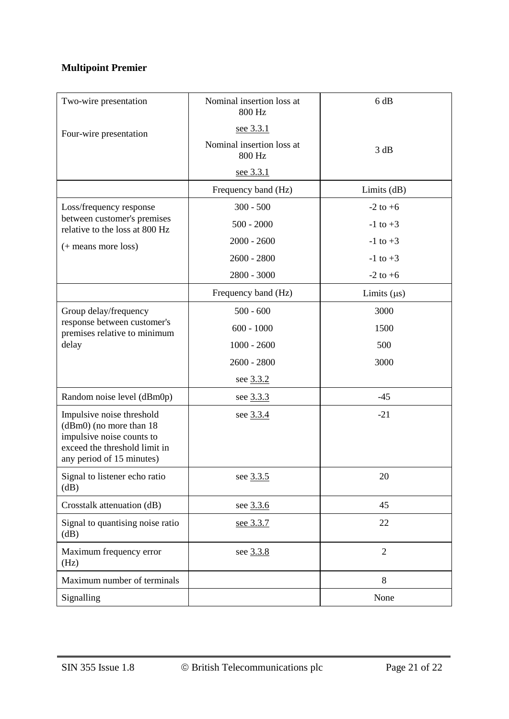# **Multipoint Premier**

| Two-wire presentation                                                                                                                           | Nominal insertion loss at<br>800 Hz | 6 dB             |
|-------------------------------------------------------------------------------------------------------------------------------------------------|-------------------------------------|------------------|
| Four-wire presentation                                                                                                                          | <u>see 3.3.1</u>                    |                  |
|                                                                                                                                                 | Nominal insertion loss at<br>800 Hz | 3 dB             |
|                                                                                                                                                 | see 3.3.1                           |                  |
|                                                                                                                                                 | Frequency band (Hz)                 | Limits (dB)      |
| Loss/frequency response                                                                                                                         | $300 - 500$                         | $-2$ to $+6$     |
| between customer's premises<br>relative to the loss at 800 Hz<br>(+ means more loss)                                                            | $500 - 2000$                        | $-1$ to $+3$     |
|                                                                                                                                                 | $2000 - 2600$                       | $-1$ to $+3$     |
|                                                                                                                                                 | $2600 - 2800$                       | $-1$ to $+3$     |
|                                                                                                                                                 | 2800 - 3000                         | $-2$ to $+6$     |
|                                                                                                                                                 | Frequency band (Hz)                 | Limits $(\mu s)$ |
| Group delay/frequency                                                                                                                           | $500 - 600$                         | 3000             |
| response between customer's<br>premises relative to minimum                                                                                     | $600 - 1000$                        | 1500             |
| delay                                                                                                                                           | $1000 - 2600$                       | 500              |
|                                                                                                                                                 | $2600 - 2800$                       | 3000             |
|                                                                                                                                                 | see 3.3.2                           |                  |
| Random noise level (dBm0p)                                                                                                                      | see 3.3.3                           | $-45$            |
| Impulsive noise threshold<br>(dBm0) (no more than 18<br>impulsive noise counts to<br>exceed the threshold limit in<br>any period of 15 minutes) | see 3.3.4                           | $-21$            |
| Signal to listener echo ratio<br>(dB)                                                                                                           | see 3.3.5                           | 20               |
| Crosstalk attenuation (dB)                                                                                                                      | see 3.3.6                           | 45               |
| Signal to quantising noise ratio<br>(dB)                                                                                                        | see 3.3.7                           | 22               |
| Maximum frequency error<br>(Hz)                                                                                                                 | see 3.3.8                           | $\overline{2}$   |
| Maximum number of terminals                                                                                                                     |                                     | 8                |
| Signalling                                                                                                                                      |                                     | None             |